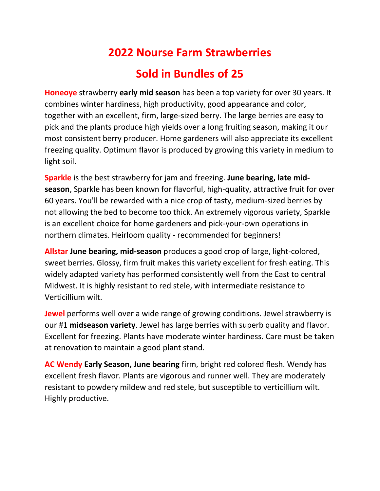## **2022 Nourse Farm Strawberries**

## **Sold in Bundles of 25**

**Honeoye** strawberry **early mid season** has been a top variety for over 30 years. It combines winter hardiness, high productivity, good appearance and color, together with an excellent, firm, large-sized berry. The large berries are easy to pick and the plants produce high yields over a long fruiting season, making it our most consistent berry producer. Home gardeners will also appreciate its excellent freezing quality. Optimum flavor is produced by growing this variety in medium to light soil.

**Sparkle** is the best strawberry for jam and freezing. **June bearing, late midseason**, Sparkle has been known for flavorful, high-quality, attractive fruit for over 60 years. You'll be rewarded with a nice crop of tasty, medium-sized berries by not allowing the bed to become too thick. An extremely vigorous variety, Sparkle is an excellent choice for home gardeners and pick-your-own operations in northern climates. Heirloom quality - recommended for beginners!

**Allstar June bearing, mid-season** produces a good crop of large, light-colored, sweet berries. Glossy, firm fruit makes this variety excellent for fresh eating. This widely adapted variety has performed consistently well from the East to central Midwest. It is highly resistant to red stele, with intermediate resistance to Verticillium wilt.

**Jewel** performs well over a wide range of growing conditions. Jewel strawberry is our #1 **midseason variety**. Jewel has large berries with superb quality and flavor. Excellent for freezing. Plants have moderate winter hardiness. Care must be taken at renovation to maintain a good plant stand.

**AC Wendy Early Season, June bearing** firm, bright red colored flesh. Wendy has excellent fresh flavor. Plants are vigorous and runner well. They are moderately resistant to powdery mildew and red stele, but susceptible to verticillium wilt. Highly productive.